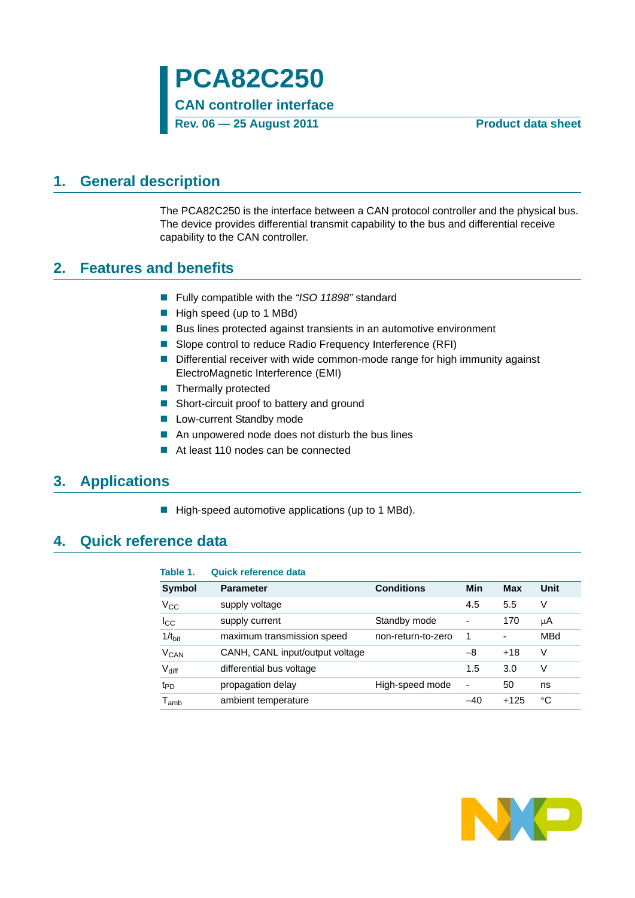# <span id="page-0-0"></span>**1. General description**

The PCA82C250 is the interface between a CAN protocol controller and the physical bus. The device provides differential transmit capability to the bus and differential receive capability to the CAN controller.

### <span id="page-0-1"></span>**2. Features and benefits**

- Fully compatible with the *"ISO 11898"* standard
- High speed (up to 1 MBd)
- Bus lines protected against transients in an automotive environment
- Slope control to reduce Radio Frequency Interference (RFI)
- **Differential receiver with wide common-mode range for high immunity against** ElectroMagnetic Interference (EMI)
- **Thermally protected**
- Short-circuit proof to battery and ground
- **Low-current Standby mode**
- An unpowered node does not disturb the bus lines
- At least 110 nodes can be connected

# <span id="page-0-2"></span>**3. Applications**

High-speed automotive applications (up to 1 MBd).

## <span id="page-0-3"></span>**4. Quick reference data**

### **Table 1. Quick reference data**

| Symbol                      | <b>Parameter</b>                | <b>Conditions</b>  | Min                      | Max    | Unit |
|-----------------------------|---------------------------------|--------------------|--------------------------|--------|------|
| $V_{\rm CC}$                | supply voltage                  |                    | 4.5                      | 5.5    | V    |
| $I_{\rm CC}$                | supply current                  | Standby mode       | $\overline{\phantom{0}}$ | 170    | μA   |
| $1/t_{\text{bit}}$          | maximum transmission speed      | non-return-to-zero | 1                        | ۰      | MBd  |
| <b>V<sub>CAN</sub></b>      | CANH, CANL input/output voltage |                    | -8                       | $+18$  | V    |
| $V_{diff}$                  | differential bus voltage        |                    | 1.5                      | 3.0    | v    |
| t <sub>PD</sub>             | propagation delay               | High-speed mode    | -                        | 50     | ns   |
| $\mathsf{T}_{\mathsf{amb}}$ | ambient temperature             |                    | $-40$                    | $+125$ | °C   |

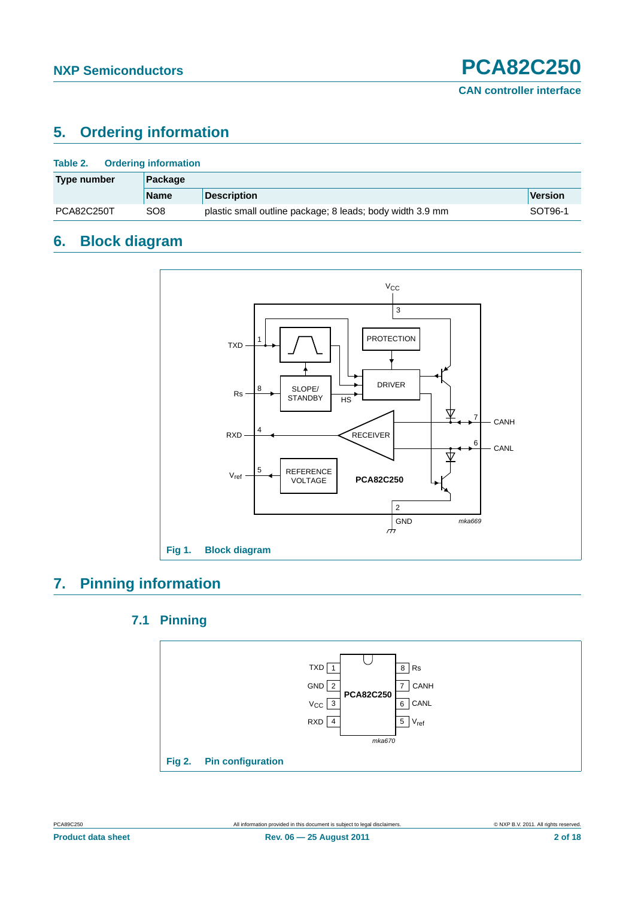# <span id="page-1-0"></span>**5. Ordering information**

| Table 2.<br><b>Ordering information</b> |                 |                                                           |                |  |  |
|-----------------------------------------|-----------------|-----------------------------------------------------------|----------------|--|--|
| Type number                             | Package         |                                                           |                |  |  |
|                                         | <b>Name</b>     | <b>Description</b>                                        | <b>Version</b> |  |  |
| <b>PCA82C250T</b>                       | SO <sub>8</sub> | plastic small outline package; 8 leads; body width 3.9 mm | SOT96-1        |  |  |

# <span id="page-1-1"></span>**6. Block diagram**



# <span id="page-1-3"></span><span id="page-1-2"></span>**7. Pinning information**

### **7.1 Pinning**

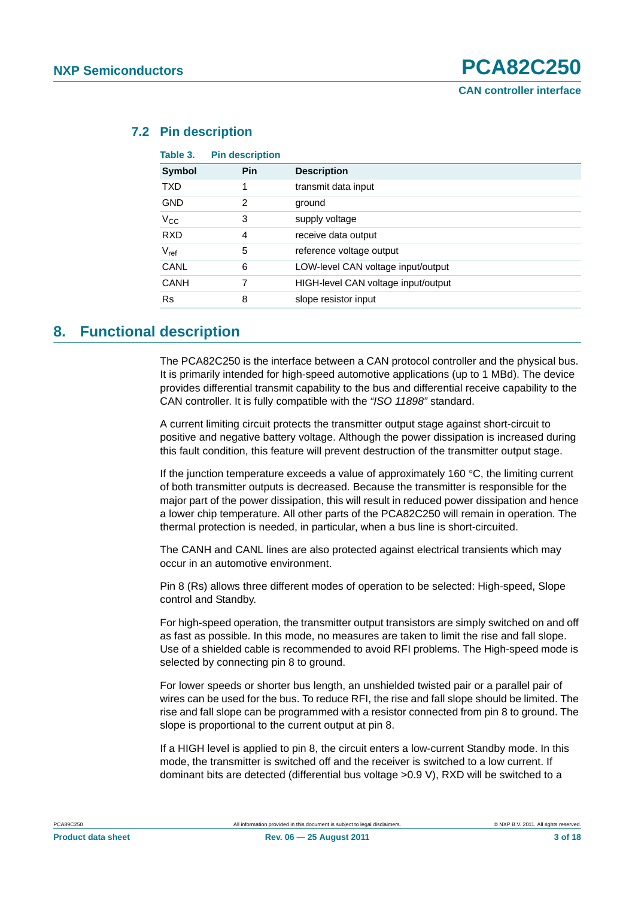| Table 3.    | <b>Pin description</b> |                                     |
|-------------|------------------------|-------------------------------------|
| Symbol      | Pin                    | <b>Description</b>                  |
| <b>TXD</b>  | 1                      | transmit data input                 |
| <b>GND</b>  | 2                      | ground                              |
| $V_{CC}$    | 3                      | supply voltage                      |
| <b>RXD</b>  | 4                      | receive data output                 |
| $V_{ref}$   | 5                      | reference voltage output            |
| CANL        | 6                      | LOW-level CAN voltage input/output  |
| <b>CANH</b> | 7                      | HIGH-level CAN voltage input/output |
| <b>Rs</b>   | 8                      | slope resistor input                |
|             |                        |                                     |

### <span id="page-2-0"></span>**7.2 Pin description**

## <span id="page-2-1"></span>**8. Functional description**

The PCA82C250 is the interface between a CAN protocol controller and the physical bus. It is primarily intended for high-speed automotive applications (up to 1 MBd). The device provides differential transmit capability to the bus and differential receive capability to the CAN controller. It is fully compatible with the *"ISO 11898"* standard.

A current limiting circuit protects the transmitter output stage against short-circuit to positive and negative battery voltage. Although the power dissipation is increased during this fault condition, this feature will prevent destruction of the transmitter output stage.

If the junction temperature exceeds a value of approximately 160  $\degree$ C, the limiting current of both transmitter outputs is decreased. Because the transmitter is responsible for the major part of the power dissipation, this will result in reduced power dissipation and hence a lower chip temperature. All other parts of the PCA82C250 will remain in operation. The thermal protection is needed, in particular, when a bus line is short-circuited.

The CANH and CANL lines are also protected against electrical transients which may occur in an automotive environment.

Pin 8 (Rs) allows three different modes of operation to be selected: High-speed, Slope control and Standby.

For high-speed operation, the transmitter output transistors are simply switched on and off as fast as possible. In this mode, no measures are taken to limit the rise and fall slope. Use of a shielded cable is recommended to avoid RFI problems. The High-speed mode is selected by connecting pin 8 to ground.

For lower speeds or shorter bus length, an unshielded twisted pair or a parallel pair of wires can be used for the bus. To reduce RFI, the rise and fall slope should be limited. The rise and fall slope can be programmed with a resistor connected from pin 8 to ground. The slope is proportional to the current output at pin 8.

If a HIGH level is applied to pin 8, the circuit enters a low-current Standby mode. In this mode, the transmitter is switched off and the receiver is switched to a low current. If dominant bits are detected (differential bus voltage >0.9 V), RXD will be switched to a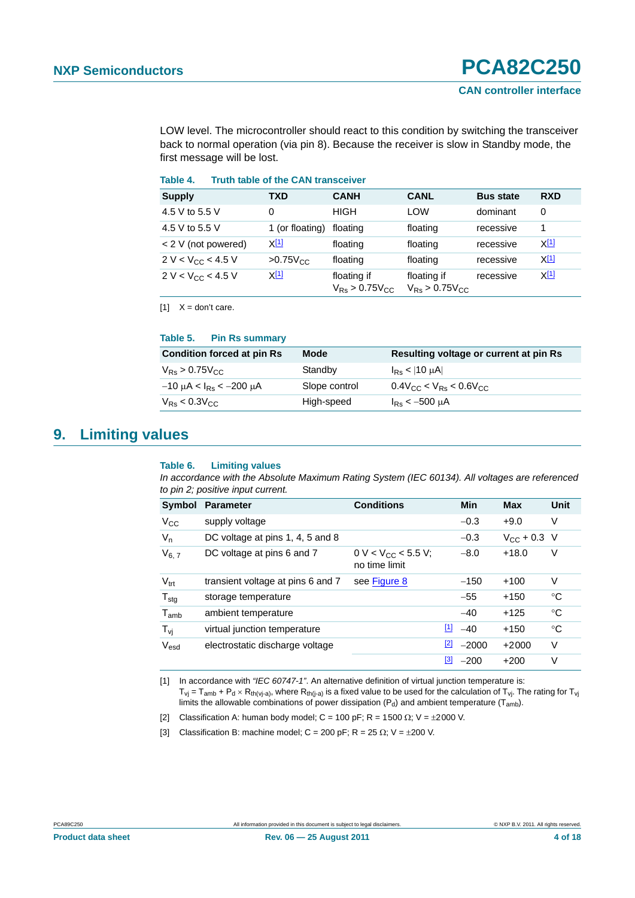LOW level. The microcontroller should react to this condition by switching the transceiver back to normal operation (via pin 8). Because the receiver is slow in Standby mode, the first message will be lost.

#### **Table 4. Truth table of the CAN transceiver**

| <b>Supply</b>          | TXD                  | <b>CANH</b>                                    | <b>CANL</b>                          | <b>Bus state</b> | <b>RXD</b>  |
|------------------------|----------------------|------------------------------------------------|--------------------------------------|------------------|-------------|
| 4.5 V to 5.5 V         | 0                    | <b>HIGH</b>                                    | LOW                                  | dominant         | 0           |
| 4.5 V to 5.5 V         | 1 (or floating)      | floating                                       | floating                             | recessive        | 1           |
| < 2 V (not powered)    | <u>X[1]</u>          | floating                                       | floating                             | recessive        | <u>X[1]</u> |
| $2 V < V_{CC} < 4.5 V$ | $>0.75V_{\text{CC}}$ | floating                                       | floating                             | recessive        | <u>X[1]</u> |
| $2 V < V_{CC} < 4.5 V$ | <u>X[1]</u>          | floating if<br>$V_{\rm Re}$ > 0.75 $V_{\rm C}$ | floating if<br>$V_{Rs} > 0.75 V_{C}$ | recessive        | <u>X[1]</u> |

<span id="page-3-0"></span> $[1]$   $X =$  don't care.

#### **Table 5. Pin Rs summary**

| <b>Condition forced at pin Rs</b>      | <b>Mode</b>   | Resulting voltage or current at pin Rs |
|----------------------------------------|---------------|----------------------------------------|
| $V_{\rm{Rs}} > 0.75 V_{\rm{CC}}$       | Standby       | $I_{\rm{Re}}$ < 10 $\mu$ A             |
| $-10$ μA < I <sub>Rs</sub> < $-200$ μA | Slope control | $0.4$ Vcc < V <sub>Rs</sub> < 0.6Vcc   |
| $V_{RS}$ < 0.3 $V_{CC}$                | High-speed    | $I_{\rm{Re}}$ < -500 $\mu$ A           |

### <span id="page-3-4"></span>**9. Limiting values**

#### **Table 6. Limiting values**

*In accordance with the Absolute Maximum Rating System (IEC 60134). All voltages are referenced to pin 2; positive input current.*

| Symbol           | <b>Parameter</b>                  | <b>Conditions</b>                        |             | Min     | <b>Max</b>              | Unit        |
|------------------|-----------------------------------|------------------------------------------|-------------|---------|-------------------------|-------------|
| $V_{\rm CC}$     | supply voltage                    |                                          |             | $-0.3$  | $+9.0$                  | V           |
| $V_{n}$          | DC voltage at pins 1, 4, 5 and 8  |                                          |             | $-0.3$  | $V_{\text{CC}} + 0.3$ V |             |
| $V_{6, 7}$       | DC voltage at pins 6 and 7        | $0 V < V_{CC}$ < 5.5 V;<br>no time limit |             | $-8.0$  | $+18.0$                 | V           |
| $V_{\text{trt}}$ | transient voltage at pins 6 and 7 | see Figure 8                             |             | $-150$  | $+100$                  | V           |
| $T_{\text{stg}}$ | storage temperature               |                                          |             | $-55$   | $+150$                  | °C          |
| $T_{amb}$        | ambient temperature               |                                          |             | $-40$   | $+125$                  | °C          |
| $T_{\nu i}$      | virtual junction temperature      |                                          | $\boxed{1}$ | $-40$   | $+150$                  | $^{\circ}C$ |
| $V_{esd}$        | electrostatic discharge voltage   |                                          | $\sqrt{2}$  | $-2000$ | $+2000$                 | V           |
|                  |                                   |                                          | $^{[3]}$    | $-200$  | $+200$                  | V           |

<span id="page-3-1"></span>[1] In accordance with *"IEC 60747-1"*. An alternative definition of virtual junction temperature is:  $T_{vj} = T_{amb} + P_d \times R_{th(vj-a)}$ , where  $R_{th(j-a)}$  is a fixed value to be used for the calculation of  $T_{vj}$ . The rating for  $T_{vj}$ limits the allowable combinations of power dissipation  $(P_d)$  and ambient temperature  $(T_{amb})$ .

<span id="page-3-2"></span>[2] Classification A: human body model; C = 100 pF; R = 1500  $\Omega$ ; V =  $\pm 2000$  V.

<span id="page-3-3"></span>[3] Classification B: machine model; C = 200 pF; R = 25  $\Omega$ ; V =  $\pm$ 200 V.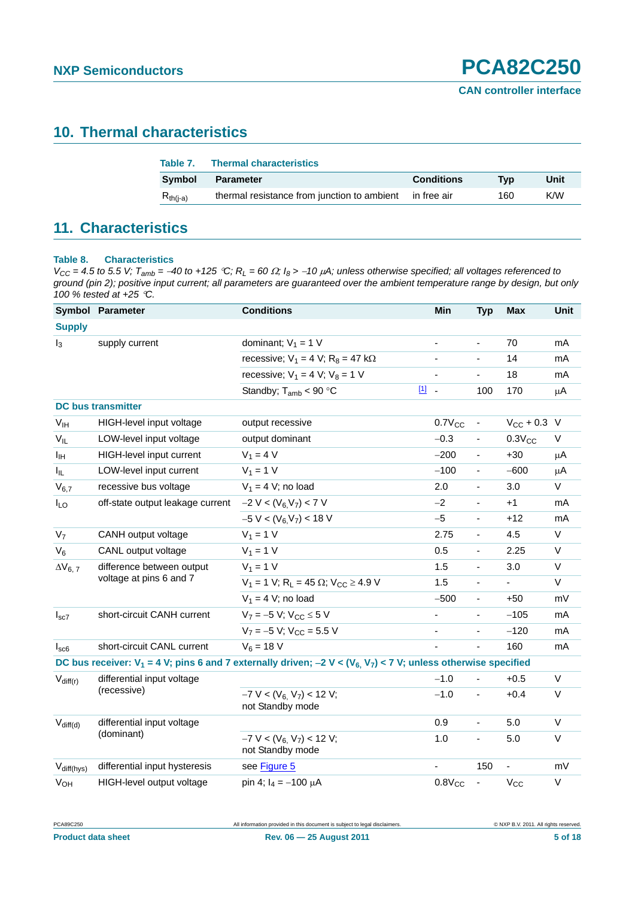## <span id="page-4-1"></span>**10. Thermal characteristics**

| Table 7.      | <b>Thermal characteristics</b>                          |                   |     |      |
|---------------|---------------------------------------------------------|-------------------|-----|------|
| <b>Symbol</b> | <b>Parameter</b>                                        | <b>Conditions</b> | Tvp | Unit |
| $R_{th(i-a)}$ | thermal resistance from junction to ambient in free air |                   | 160 | K/W  |

# <span id="page-4-2"></span>**11. Characteristics**

### <span id="page-4-0"></span>**Table 8. Characteristics**

 $V_{CC}$  = 4.5 to 5.5 V;  $T_{amb}$  = -40 to +125 °C;  $R_L$  = 60  $\Omega$ ;  $I_8$  > -10  $\mu$ A; unless otherwise specified; all voltages referenced to *ground (pin 2); positive input current; all parameters are guaranteed over the ambient temperature range by design, but only 100 % tested at +25 C.*

|                        | Symbol Parameter                 | <b>Conditions</b>                                                                                                                        | <b>Min</b>                   | <b>Typ</b>                   | <b>Max</b>               | <b>Unit</b>  |
|------------------------|----------------------------------|------------------------------------------------------------------------------------------------------------------------------------------|------------------------------|------------------------------|--------------------------|--------------|
| <b>Supply</b>          |                                  |                                                                                                                                          |                              |                              |                          |              |
| $I_3$                  | supply current                   | dominant; $V_1 = 1$ V                                                                                                                    | $\blacksquare$               | $\blacksquare$               | 70                       | mA           |
|                        |                                  | recessive; $V_1 = 4 V$ ; $R_8 = 47 k\Omega$                                                                                              |                              | $\overline{\phantom{0}}$     | 14                       | mA           |
|                        |                                  | recessive; $V_1 = 4 V$ ; $V_8 = 1 V$                                                                                                     | $\qquad \qquad \blacksquare$ | $\frac{1}{2}$                | 18                       | mA           |
|                        |                                  | Standby; $T_{amb}$ < 90 °C                                                                                                               | $11 -$                       | 100                          | 170                      | μA           |
|                        | <b>DC bus transmitter</b>        |                                                                                                                                          |                              |                              |                          |              |
| V <sub>IH</sub>        | HIGH-level input voltage         | output recessive                                                                                                                         | $0.7V_{CC}$                  | $\overline{\phantom{a}}$     | $V_{CC}$ + 0.3 V         |              |
| $V_{IL}$               | LOW-level input voltage          | output dominant                                                                                                                          | $-0.3$                       | $\overline{\phantom{0}}$     | $0.3V_{CC}$              | V            |
| ΙH                     | HIGH-level input current         | $V_1 = 4 V$                                                                                                                              | $-200$                       | $\frac{1}{2}$                | $+30$                    | μA           |
| $I_{IL}$               | LOW-level input current          | $V_1 = 1 V$                                                                                                                              | $-100$                       | $\blacksquare$               | $-600$                   | $\mu$ A      |
| $V_{6,7}$              | recessive bus voltage            | $V_1 = 4$ V; no load                                                                                                                     | 2.0                          | ÷.                           | 3.0                      | $\vee$       |
| $I_{LO}$               | off-state output leakage current | $-2 V < (V_6 V_7) < 7 V$                                                                                                                 | $-2$                         | $\overline{\phantom{0}}$     | $+1$                     | mA           |
|                        |                                  | $-5 V < (V_6 V_7) < 18 V$                                                                                                                | $-5$                         | $\overline{\phantom{0}}$     | +12                      | mA           |
| V <sub>7</sub>         | CANH output voltage              | $V_1 = 1 V$                                                                                                                              | 2.75                         | $\qquad \qquad \blacksquare$ | 4.5                      | V            |
| $V_6$                  | CANL output voltage              | $V_1 = 1 V$                                                                                                                              | 0.5                          | $\overline{\phantom{a}}$     | 2.25                     | V            |
| $\Delta V_{6, 7}$      | difference between output        | $V_1 = 1 V$                                                                                                                              | 1.5                          | ä,                           | 3.0                      | $\vee$       |
|                        | voltage at pins 6 and 7          | $V_1 = 1$ V; R <sub>L</sub> = 45 $\Omega$ ; V <sub>CC</sub> $\geq$ 4.9 V                                                                 | 1.5                          | $\qquad \qquad \blacksquare$ | $\overline{\phantom{a}}$ | V            |
|                        |                                  | $V_1 = 4 V$ ; no load                                                                                                                    | $-500$                       | ÷.                           | $+50$                    | mV           |
| $I_{sc7}$              | short-circuit CANH current       | $V_7 = -5 V$ ; $V_{CC} \le 5 V$                                                                                                          | $\blacksquare$               | $\frac{1}{2}$                | $-105$                   | mA           |
|                        |                                  | $V_7 = -5 V$ ; $V_{CC} = 5.5 V$                                                                                                          | $\blacksquare$               | ÷,                           | $-120$                   | mA           |
| $I_{\text{SC6}}$       | short-circuit CANL current       | $V_6 = 18 V$                                                                                                                             |                              |                              | 160                      | mA           |
|                        |                                  | DC bus receiver: $V_1$ = 4 V; pins 6 and 7 externally driven; -2 V < (V <sub>6,</sub> V <sub>7</sub> ) < 7 V; unless otherwise specified |                              |                              |                          |              |
| $V_{diff(r)}$          | differential input voltage       |                                                                                                                                          | $-1.0$                       |                              | $+0.5$                   | $\vee$       |
|                        | (recessive)                      | $-7$ V < (V <sub>6,</sub> V <sub>7</sub> ) < 12 V;<br>not Standby mode                                                                   | $-1.0$                       | $\blacksquare$               | $+0.4$                   | $\vee$       |
| $V_{diff(d)}$          | differential input voltage       |                                                                                                                                          | 0.9                          | ÷,                           | 5.0                      | $\vee$       |
|                        | (dominant)                       | $-7$ V < $(V_6, V_7)$ < 12 V;<br>not Standby mode                                                                                        | 1.0                          | $\frac{1}{2}$                | 5.0                      | $\mathsf V$  |
| V <sub>diff(hys)</sub> | differential input hysteresis    | see Figure 5                                                                                                                             | $\blacksquare$               | 150                          | ÷,                       | mV           |
| <b>V<sub>OH</sub></b>  | HIGH-level output voltage        | pin 4; $I_4 = -100 \mu A$                                                                                                                | $0.8V_{CC}$                  | ÷,                           | $V_{CC}$                 | $\mathsf{V}$ |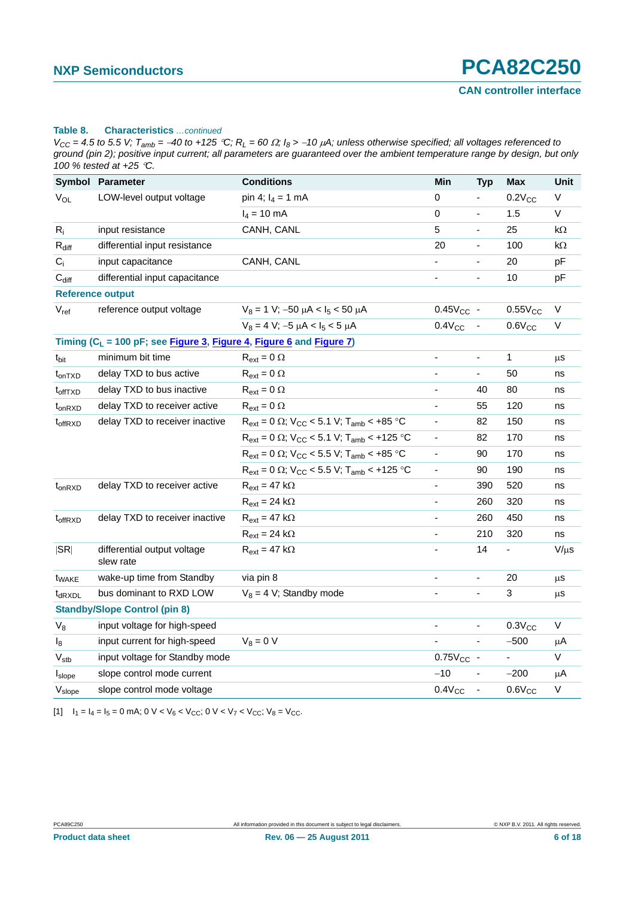#### **Table 8. Characteristics** *…continued*

 $V_{CC}$  = 4.5 to 5.5 V;  $T_{amb}$  = -40 to +125 °C;  $R_L$  = 60  $\Omega$ ;  $I_8$  > -10  $\mu$ A; unless otherwise specified; all voltages referenced to *ground (pin 2); positive input current; all parameters are guaranteed over the ambient temperature range by design, but only 100 % tested at +25 C.*

|                                 | <b>Symbol Parameter</b>                                                 | <b>Conditions</b>                                                            | Min                      | <b>Typ</b>                   | <b>Max</b>               | Unit        |
|---------------------------------|-------------------------------------------------------------------------|------------------------------------------------------------------------------|--------------------------|------------------------------|--------------------------|-------------|
| $V_{OL}$                        | LOW-level output voltage                                                | pin 4; $I_4 = 1$ mA                                                          | $\pmb{0}$                |                              | $0.2V_{CC}$              | $\vee$      |
|                                 |                                                                         | $I_4 = 10$ mA                                                                | $\pmb{0}$                | $\frac{1}{2}$                | 1.5                      | V           |
| $R_i$                           | input resistance                                                        | CANH, CANL                                                                   | 5                        | ÷,                           | 25                       | kΩ          |
| $R_{diff}$                      | differential input resistance                                           |                                                                              | 20                       | ä,                           | 100                      | $k\Omega$   |
| $C_i$                           | input capacitance                                                       | CANH, CANL                                                                   |                          |                              | 20                       | pF          |
| $C_{diff}$                      | differential input capacitance                                          |                                                                              | $\blacksquare$           | $\overline{\phantom{a}}$     | 10                       | pF          |
|                                 | <b>Reference output</b>                                                 |                                                                              |                          |                              |                          |             |
| $V_{ref}$                       | reference output voltage                                                | $V_8 = 1$ V; -50 $\mu$ A < I <sub>5</sub> < 50 $\mu$ A                       | $0.45V_{CC}$ -           |                              | $0.55V_{CC}$             | V           |
|                                 |                                                                         | $V_8 = 4 V$ ; -5 $\mu$ A < I <sub>5</sub> < 5 $\mu$ A                        | $0.4V_{CC}$              |                              | $0.6V_{CC}$              | $\mathsf V$ |
|                                 | Timing ( $C_L$ = 100 pF; see Figure 3, Figure 4, Figure 6 and Figure 7) |                                                                              |                          |                              |                          |             |
| t <sub>bit</sub>                | minimum bit time                                                        | $R_{ext} = 0 \Omega$                                                         | $\blacksquare$           | $\qquad \qquad \blacksquare$ | 1                        | μS          |
| t <sub>on</sub> T <sub>XD</sub> | delay TXD to bus active                                                 | $R_{ext} = 0 \Omega$                                                         |                          | ÷,                           | 50                       | ns          |
| t <sub>offTXD</sub>             | delay TXD to bus inactive                                               | $R_{ext} = 0 \Omega$                                                         | $\overline{\phantom{a}}$ | 40                           | 80                       | ns          |
| $t_{on RXD}$                    | delay TXD to receiver active                                            | $R_{ext} = 0 \Omega$                                                         | $\blacksquare$           | 55                           | 120                      | ns          |
| t <sub>offRXD</sub>             | delay TXD to receiver inactive                                          | $R_{ext} = 0 \Omega$ ; V <sub>CC</sub> < 5.1 V; T <sub>amb</sub> < +85 °C    | $\overline{\phantom{a}}$ | 82                           | 150                      | ns          |
|                                 |                                                                         | $R_{ext}$ = 0 $\Omega$ ; V <sub>CC</sub> < 5.1 V; T <sub>amb</sub> < +125 °C | $\overline{\phantom{a}}$ | 82                           | 170                      | ns          |
|                                 |                                                                         | $R_{ext} = 0 \Omega$ ; V <sub>CC</sub> < 5.5 V; T <sub>amb</sub> < +85 °C    | $\blacksquare$           | 90                           | 170                      | ns          |
|                                 |                                                                         | $R_{ext}$ = 0 $\Omega$ ; V <sub>CC</sub> < 5.5 V; T <sub>amb</sub> < +125 °C | $\overline{\phantom{a}}$ | 90                           | 190                      | ns          |
| t <sub>onRXD</sub>              | delay TXD to receiver active                                            | $R_{ext} = 47 k\Omega$                                                       | $\blacksquare$           | 390                          | 520                      | ns          |
|                                 |                                                                         | $R_{ext} = 24 k\Omega$                                                       | $\blacksquare$           | 260                          | 320                      | ns          |
| t <sub>offRXD</sub>             | delay TXD to receiver inactive                                          | $R_{ext} = 47 k\Omega$                                                       | $\blacksquare$           | 260                          | 450                      | ns          |
|                                 |                                                                         | $R_{ext} = 24 k\Omega$                                                       | $\overline{\phantom{a}}$ | 210                          | 320                      | ns          |
| SR                              | differential output voltage<br>slew rate                                | $R_{ext} = 47 k\Omega$                                                       |                          | 14                           | $\overline{\phantom{a}}$ | $V/\mu s$   |
| <b>t</b> <sub>WAKE</sub>        | wake-up time from Standby                                               | via pin 8                                                                    | $\blacksquare$           | ÷,                           | 20                       | μs          |
| $t_{dRXDL}$                     | bus dominant to RXD LOW                                                 | $V_8 = 4$ V; Standby mode                                                    |                          | $\overline{\phantom{a}}$     | 3                        | μS          |
|                                 | <b>Standby/Slope Control (pin 8)</b>                                    |                                                                              |                          |                              |                          |             |
| $V_8$                           | input voltage for high-speed                                            |                                                                              | $\overline{\phantom{a}}$ | $\frac{1}{2}$                | $0.3V_{CC}$              | V           |
| $\mathsf{I}_8$                  | input current for high-speed                                            | $V_8 = 0 V$                                                                  |                          |                              | $-500$                   | $\mu$ A     |
| $V_{\text{stb}}$                | input voltage for Standby mode                                          |                                                                              | $0.75V_{CC}$ -           |                              |                          | V           |
| Islope                          | slope control mode current                                              |                                                                              | $-10$                    | $\frac{1}{2}$                | $-200$                   | $\mu$ A     |
| V <sub>slope</sub>              | slope control mode voltage                                              |                                                                              | $0.4V_{CC}$              | $\overline{\phantom{a}}$     | $0.6V_{CC}$              | $\vee$      |

<span id="page-5-0"></span>[1]  $I_1 = I_4 = I_5 = 0$  mA;  $0 \vee \vee V_6 < V_{CC}$ ;  $0 \vee \vee V_7 < V_{CC}$ ;  $V_8 = V_{CC}$ .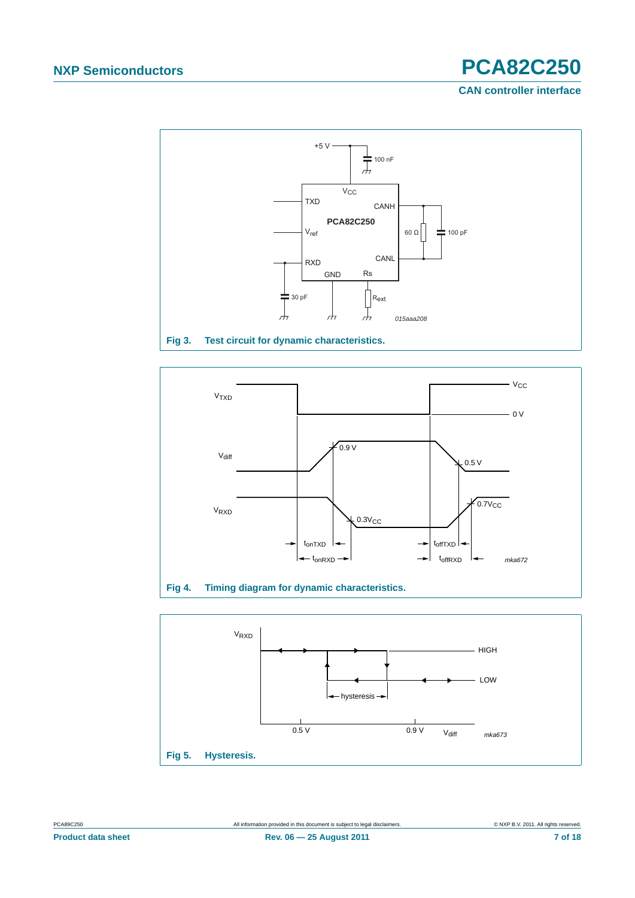**CAN controller interface**



<span id="page-6-2"></span>

<span id="page-6-1"></span>

<span id="page-6-0"></span>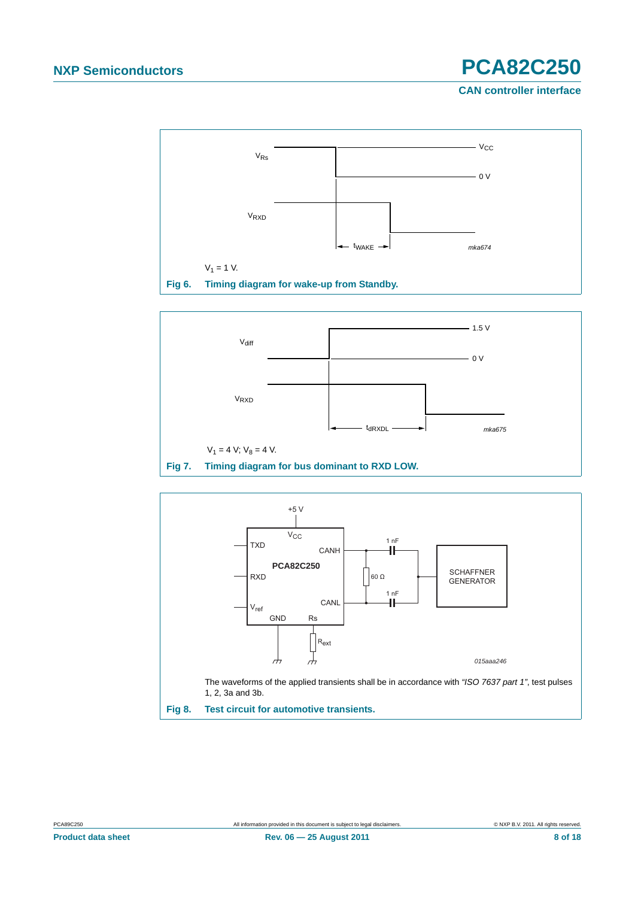**CAN controller interface**



<span id="page-7-1"></span>

<span id="page-7-2"></span>

<span id="page-7-0"></span>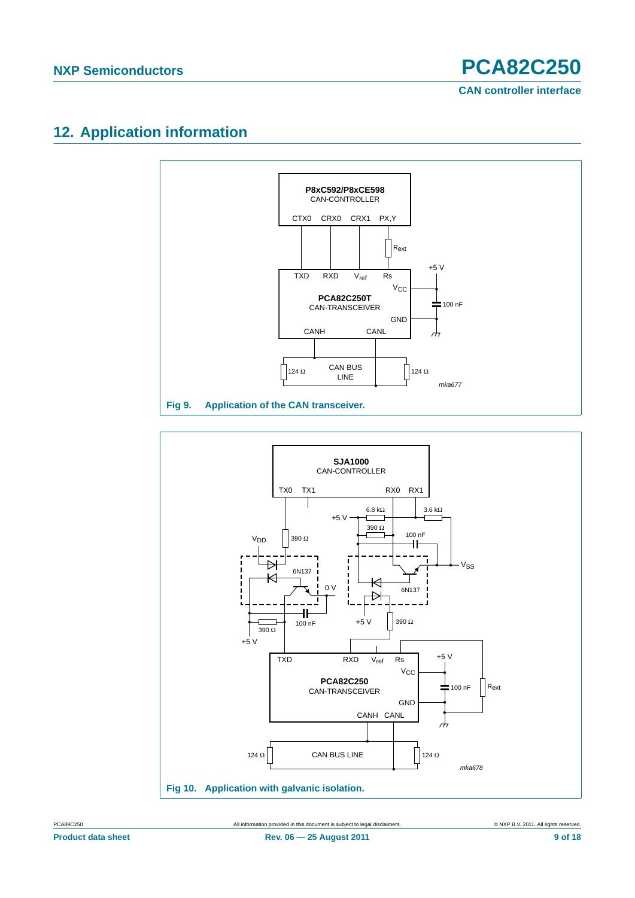# <span id="page-8-0"></span>**12. Application information**





PCA89C250 All information provided in this document is subject to legal disclaimers. © NXP B.V. 2011. All rights reserved.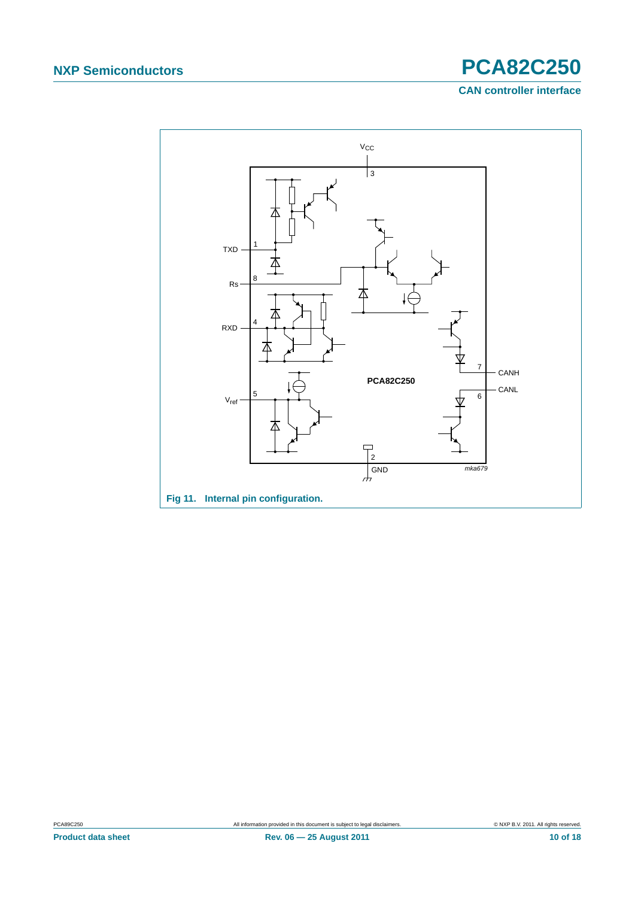**CAN controller interface**

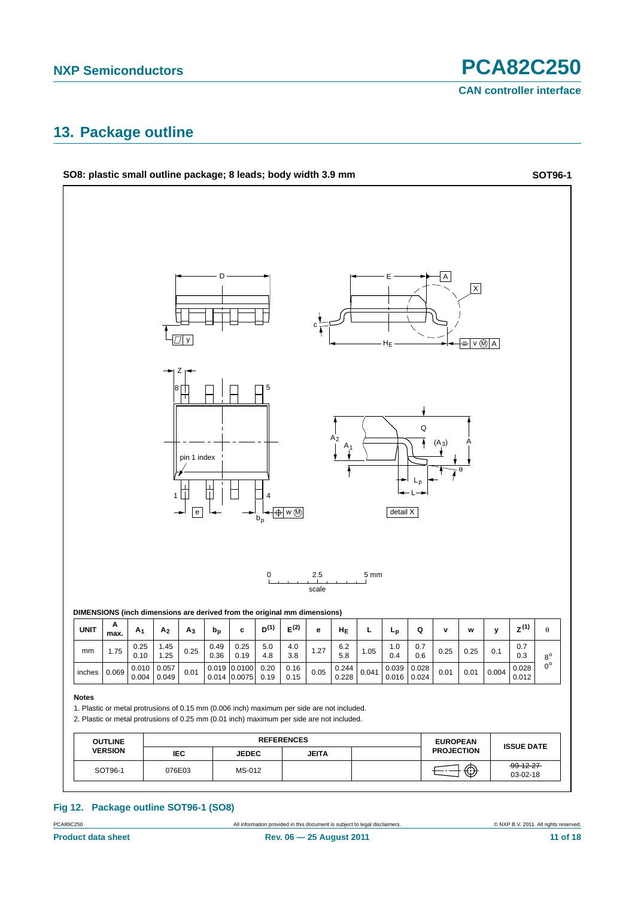# <span id="page-10-0"></span>**13. Package outline**



PCA89C250 All information provided in this document is subject to legal disclaimers. © NXP B.V. 2011. All rights reserved.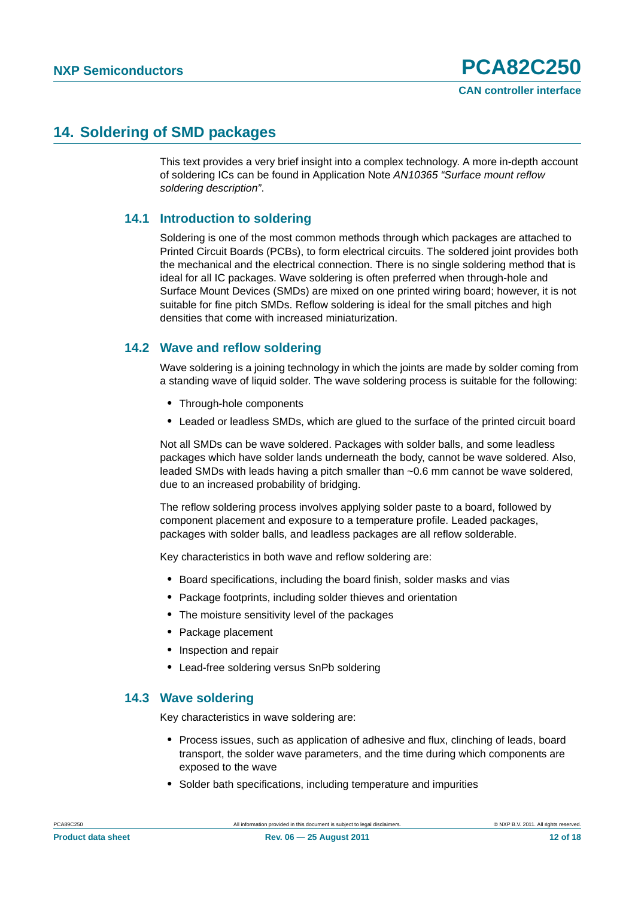## <span id="page-11-0"></span>**14. Soldering of SMD packages**

This text provides a very brief insight into a complex technology. A more in-depth account of soldering ICs can be found in Application Note *AN10365 "Surface mount reflow soldering description"*.

### <span id="page-11-1"></span>**14.1 Introduction to soldering**

Soldering is one of the most common methods through which packages are attached to Printed Circuit Boards (PCBs), to form electrical circuits. The soldered joint provides both the mechanical and the electrical connection. There is no single soldering method that is ideal for all IC packages. Wave soldering is often preferred when through-hole and Surface Mount Devices (SMDs) are mixed on one printed wiring board; however, it is not suitable for fine pitch SMDs. Reflow soldering is ideal for the small pitches and high densities that come with increased miniaturization.

### <span id="page-11-2"></span>**14.2 Wave and reflow soldering**

Wave soldering is a joining technology in which the joints are made by solder coming from a standing wave of liquid solder. The wave soldering process is suitable for the following:

- **•** Through-hole components
- **•** Leaded or leadless SMDs, which are glued to the surface of the printed circuit board

Not all SMDs can be wave soldered. Packages with solder balls, and some leadless packages which have solder lands underneath the body, cannot be wave soldered. Also, leaded SMDs with leads having a pitch smaller than ~0.6 mm cannot be wave soldered, due to an increased probability of bridging.

The reflow soldering process involves applying solder paste to a board, followed by component placement and exposure to a temperature profile. Leaded packages, packages with solder balls, and leadless packages are all reflow solderable.

Key characteristics in both wave and reflow soldering are:

- **•** Board specifications, including the board finish, solder masks and vias
- **•** Package footprints, including solder thieves and orientation
- **•** The moisture sensitivity level of the packages
- **•** Package placement
- **•** Inspection and repair
- **•** Lead-free soldering versus SnPb soldering

### <span id="page-11-3"></span>**14.3 Wave soldering**

Key characteristics in wave soldering are:

- **•** Process issues, such as application of adhesive and flux, clinching of leads, board transport, the solder wave parameters, and the time during which components are exposed to the wave
- **•** Solder bath specifications, including temperature and impurities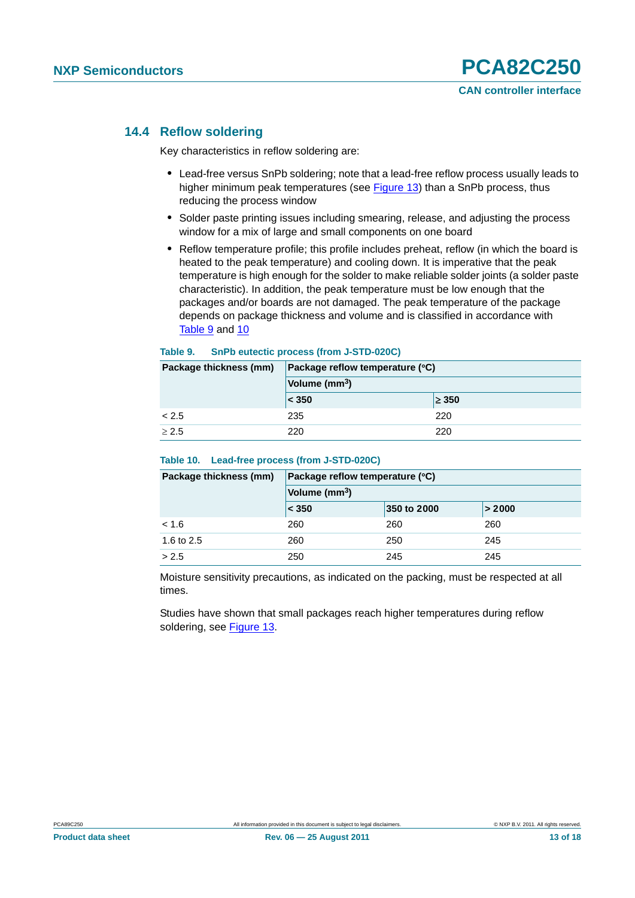### <span id="page-12-0"></span>**14.4 Reflow soldering**

Key characteristics in reflow soldering are:

- **•** Lead-free versus SnPb soldering; note that a lead-free reflow process usually leads to higher minimum peak temperatures (see Figure 13) than a SnPb process, thus reducing the process window
- **•** Solder paste printing issues including smearing, release, and adjusting the process window for a mix of large and small components on one board
- **•** Reflow temperature profile; this profile includes preheat, reflow (in which the board is heated to the peak temperature) and cooling down. It is imperative that the peak temperature is high enough for the solder to make reliable solder joints (a solder paste characteristic). In addition, the peak temperature must be low enough that the packages and/or boards are not damaged. The peak temperature of the package depends on package thickness and volume and is classified in accordance with Table 9 and 10

### **Table 9. SnPb eutectic process (from J-STD-020C)**

| Package thickness (mm) | Package reflow temperature (°C) |            |  |
|------------------------|---------------------------------|------------|--|
|                        | Volume (mm <sup>3</sup> )       |            |  |
|                        | < 350                           | $\geq 350$ |  |
| < 2.5                  | 235                             | 220        |  |
| > 2.5                  | 220                             | 220        |  |

### **Table 10. Lead-free process (from J-STD-020C)**

| Package thickness (mm) | Package reflow temperature (°C) |             |        |  |  |
|------------------------|---------------------------------|-------------|--------|--|--|
|                        | Volume (mm <sup>3</sup> )       |             |        |  |  |
|                        | $\leq 350$                      | 350 to 2000 | > 2000 |  |  |
| < 1.6                  | 260                             | 260         | 260    |  |  |
| 1.6 to 2.5             | 260                             | 250         | 245    |  |  |
| > 2.5                  | 250                             | 245         | 245    |  |  |

Moisture sensitivity precautions, as indicated on the packing, must be respected at all times.

Studies have shown that small packages reach higher temperatures during reflow soldering, see Figure 13.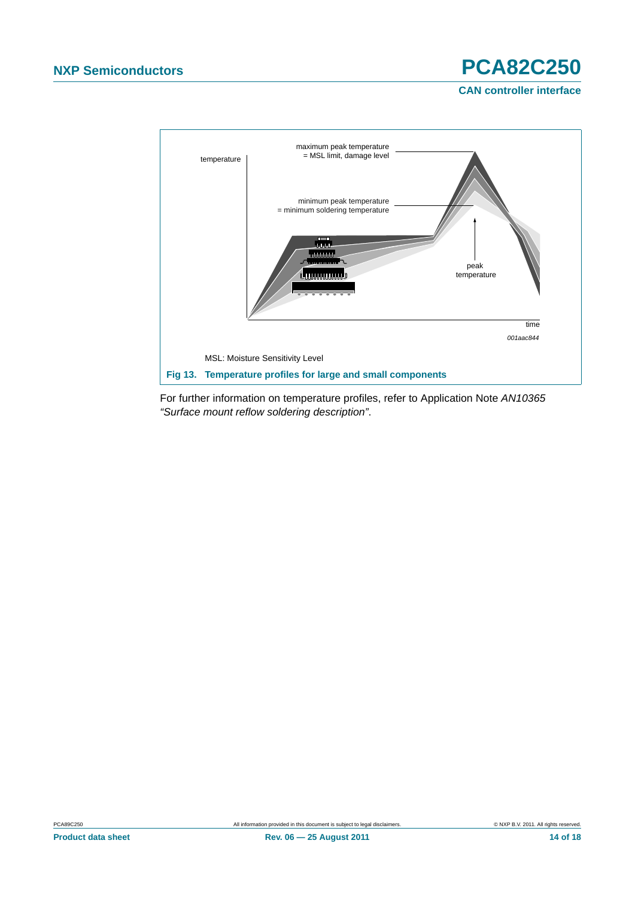**CAN controller interface**



For further information on temperature profiles, refer to Application Note *AN10365 "Surface mount reflow soldering description"*.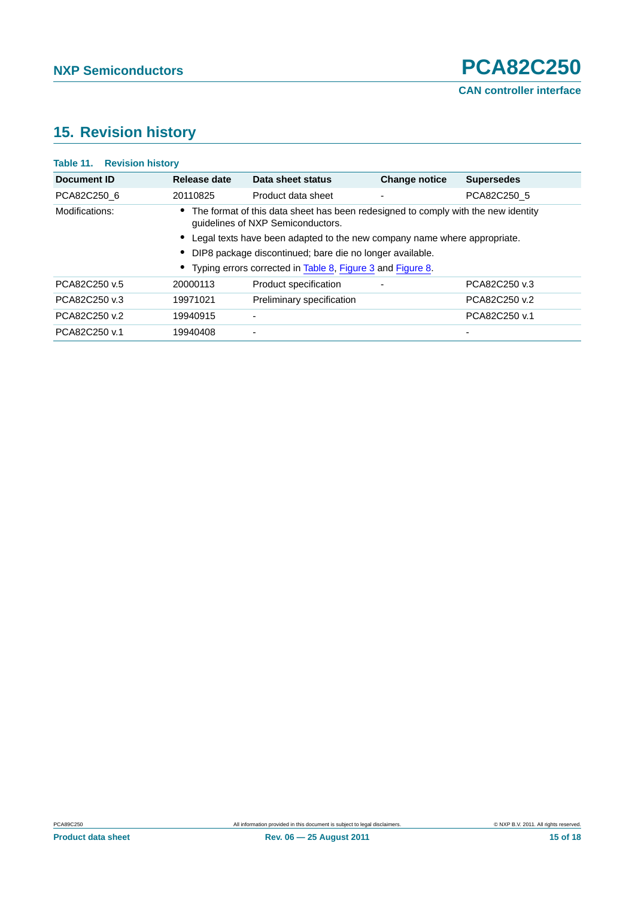# <span id="page-14-0"></span>**15. Revision history**

| <b>Table 11. Revision history</b>                                                                                                          |              |                                                              |                      |                          |
|--------------------------------------------------------------------------------------------------------------------------------------------|--------------|--------------------------------------------------------------|----------------------|--------------------------|
| Document ID                                                                                                                                | Release date | Data sheet status                                            | <b>Change notice</b> | <b>Supersedes</b>        |
| PCA82C250 6                                                                                                                                | 20110825     | Product data sheet                                           |                      | PCA82C250 5              |
| Modifications:<br>• The format of this data sheet has been redesigned to comply with the new identity<br>quidelines of NXP Semiconductors. |              |                                                              |                      |                          |
| Legal texts have been adapted to the new company name where appropriate.<br>DIP8 package discontinued; bare die no longer available.       |              |                                                              |                      |                          |
|                                                                                                                                            |              |                                                              |                      |                          |
|                                                                                                                                            |              | • Typing errors corrected in Table 8, Figure 3 and Figure 8. |                      |                          |
| PCA82C250 v.5                                                                                                                              | 20000113     | Product specification                                        |                      | PCA82C250 v.3            |
| PCA82C250 v.3                                                                                                                              | 19971021     | Preliminary specification                                    |                      | PCA82C250 v.2            |
| PCA82C250 v.2                                                                                                                              | 19940915     | ۰                                                            |                      | PCA82C250 v.1            |
| PCA82C250 v.1                                                                                                                              | 19940408     | ٠                                                            |                      | $\overline{\phantom{0}}$ |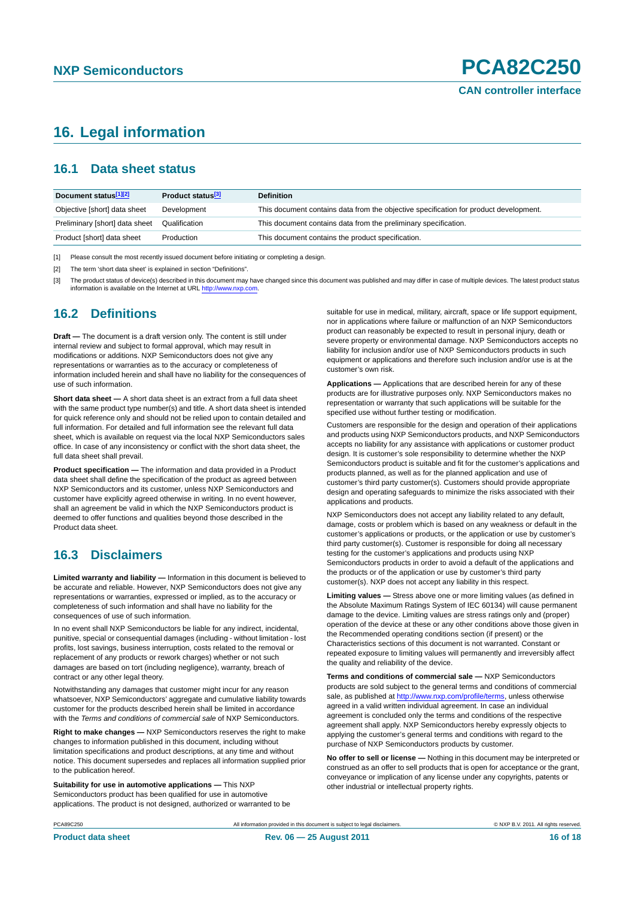# <span id="page-15-0"></span>**16. Legal information**

### <span id="page-15-1"></span>**16.1 Data sheet status**

| Document status[1][2]          | Product status <sup>[3]</sup> | <b>Definition</b>                                                                     |
|--------------------------------|-------------------------------|---------------------------------------------------------------------------------------|
| Objective [short] data sheet   | Development                   | This document contains data from the objective specification for product development. |
| Preliminary [short] data sheet | Qualification                 | This document contains data from the preliminary specification.                       |
| Product [short] data sheet     | Production                    | This document contains the product specification.                                     |

[1] Please consult the most recently issued document before initiating or completing a design.

[2] The term 'short data sheet' is explained in section "Definitions"

[3] The product status of device(s) described in this document may have changed since this document was published and may differ in case of multiple devices. The latest product status<br>information is available on the Intern

### <span id="page-15-2"></span>**16.2 Definitions**

**Draft —** The document is a draft version only. The content is still under internal review and subject to formal approval, which may result in modifications or additions. NXP Semiconductors does not give any representations or warranties as to the accuracy or completeness of information included herein and shall have no liability for the consequences of use of such information.

**Short data sheet —** A short data sheet is an extract from a full data sheet with the same product type number(s) and title. A short data sheet is intended for quick reference only and should not be relied upon to contain detailed and full information. For detailed and full information see the relevant full data sheet, which is available on request via the local NXP Semiconductors sales office. In case of any inconsistency or conflict with the short data sheet, the full data sheet shall prevail.

**Product specification —** The information and data provided in a Product data sheet shall define the specification of the product as agreed between NXP Semiconductors and its customer, unless NXP Semiconductors and customer have explicitly agreed otherwise in writing. In no event however, shall an agreement be valid in which the NXP Semiconductors product is deemed to offer functions and qualities beyond those described in the Product data sheet.

### <span id="page-15-3"></span>**16.3 Disclaimers**

**Limited warranty and liability —** Information in this document is believed to be accurate and reliable. However, NXP Semiconductors does not give any representations or warranties, expressed or implied, as to the accuracy or completeness of such information and shall have no liability for the consequences of use of such information.

In no event shall NXP Semiconductors be liable for any indirect, incidental, punitive, special or consequential damages (including - without limitation - lost profits, lost savings, business interruption, costs related to the removal or replacement of any products or rework charges) whether or not such damages are based on tort (including negligence), warranty, breach of contract or any other legal theory.

Notwithstanding any damages that customer might incur for any reason whatsoever, NXP Semiconductors' aggregate and cumulative liability towards customer for the products described herein shall be limited in accordance with the *Terms and conditions of commercial sale* of NXP Semiconductors.

**Right to make changes —** NXP Semiconductors reserves the right to make changes to information published in this document, including without limitation specifications and product descriptions, at any time and without notice. This document supersedes and replaces all information supplied prior to the publication hereof.

**Suitability for use in automotive applications —** This NXP Semiconductors product has been qualified for use in automotive applications. The product is not designed, authorized or warranted to be suitable for use in medical, military, aircraft, space or life support equipment nor in applications where failure or malfunction of an NXP Semiconductors product can reasonably be expected to result in personal injury, death or severe property or environmental damage. NXP Semiconductors accepts no liability for inclusion and/or use of NXP Semiconductors products in such equipment or applications and therefore such inclusion and/or use is at the customer's own risk.

**Applications —** Applications that are described herein for any of these products are for illustrative purposes only. NXP Semiconductors makes no representation or warranty that such applications will be suitable for the specified use without further testing or modification.

Customers are responsible for the design and operation of their applications and products using NXP Semiconductors products, and NXP Semiconductors accepts no liability for any assistance with applications or customer product design. It is customer's sole responsibility to determine whether the NXP Semiconductors product is suitable and fit for the customer's applications and products planned, as well as for the planned application and use of customer's third party customer(s). Customers should provide appropriate design and operating safeguards to minimize the risks associated with their applications and products.

NXP Semiconductors does not accept any liability related to any default, damage, costs or problem which is based on any weakness or default in the customer's applications or products, or the application or use by customer's third party customer(s). Customer is responsible for doing all necessary testing for the customer's applications and products using NXP Semiconductors products in order to avoid a default of the applications and the products or of the application or use by customer's third party customer(s). NXP does not accept any liability in this respect.

**Limiting values —** Stress above one or more limiting values (as defined in the Absolute Maximum Ratings System of IEC 60134) will cause permanent damage to the device. Limiting values are stress ratings only and (proper) operation of the device at these or any other conditions above those given in the Recommended operating conditions section (if present) or the Characteristics sections of this document is not warranted. Constant or repeated exposure to limiting values will permanently and irreversibly affect the quality and reliability of the device.

**Terms and conditions of commercial sale —** NXP Semiconductors products are sold subject to the general terms and conditions of commercial sale, as published at<http://www.nxp.com/profile/terms>, unless otherwise agreed in a valid written individual agreement. In case an individual agreement is concluded only the terms and conditions of the respective agreement shall apply. NXP Semiconductors hereby expressly objects to applying the customer's general terms and conditions with regard to the purchase of NXP Semiconductors products by customer.

**No offer to sell or license —** Nothing in this document may be interpreted or construed as an offer to sell products that is open for acceptance or the grant, conveyance or implication of any license under any copyrights, patents or other industrial or intellectual property rights.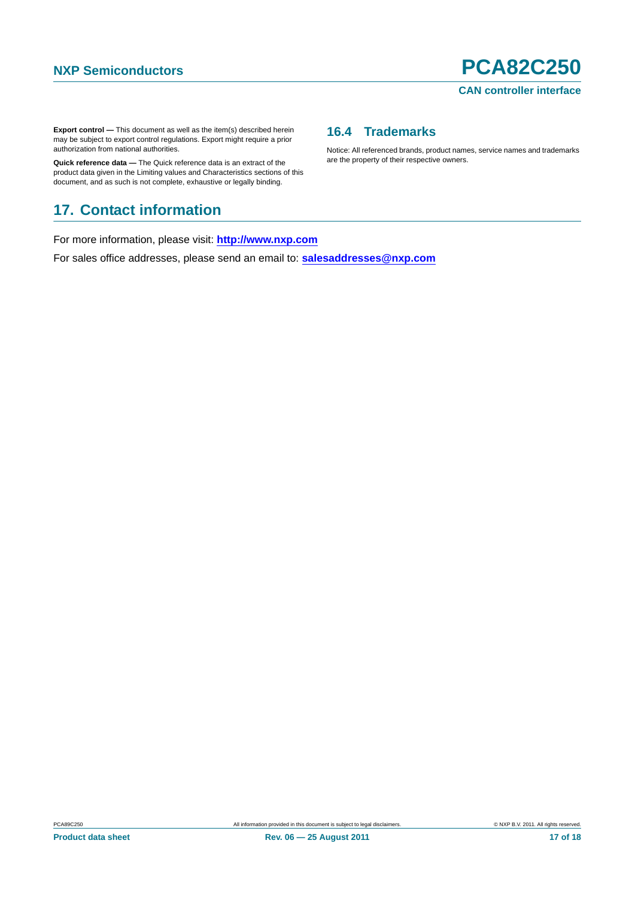**Export control —** This document as well as the item(s) described herein may be subject to export control regulations. Export might require a prior authorization from national authorities.

**Quick reference data —** The Quick reference data is an extract of the product data given in the Limiting values and Characteristics sections of this document, and as such is not complete, exhaustive or legally binding.

# <span id="page-16-1"></span>**17. Contact information**

For more information, please visit: **http://www.nxp.com**

For sales office addresses, please send an email to: **salesaddresses@nxp.com**

### <span id="page-16-0"></span>**16.4 Trademarks**

Notice: All referenced brands, product names, service names and trademarks are the property of their respective owners.